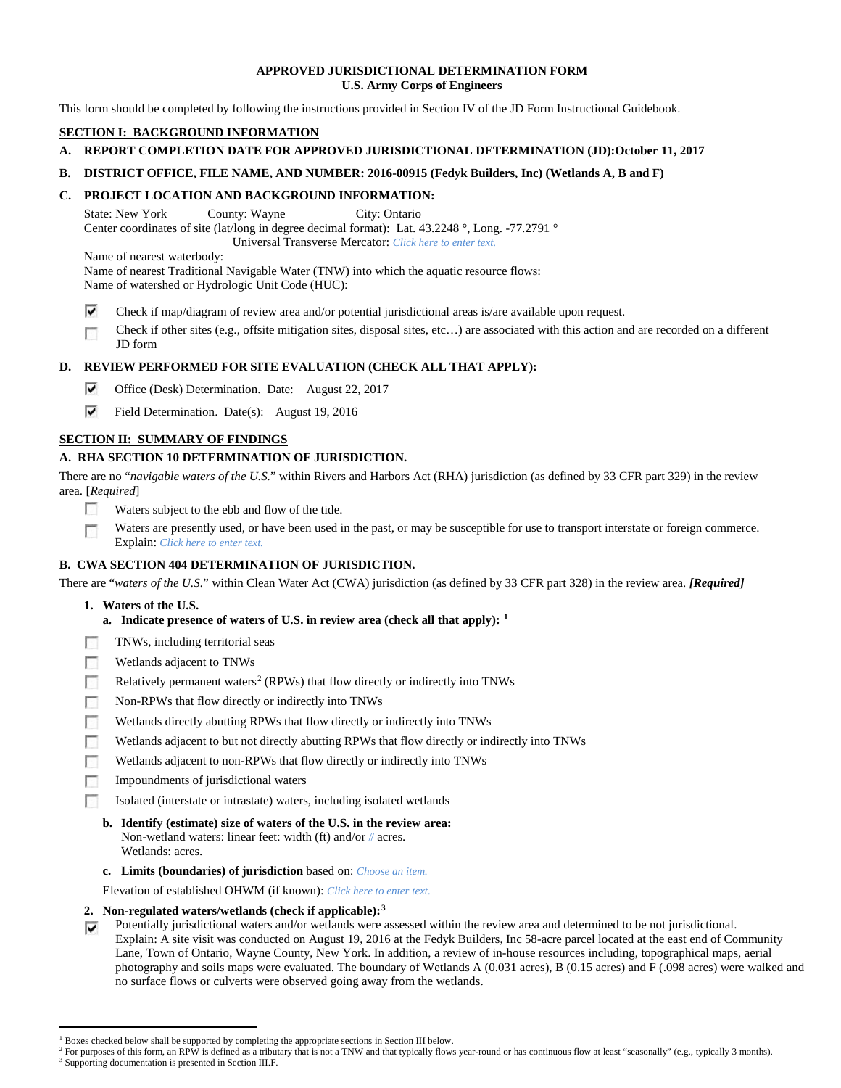## **APPROVED JURISDICTIONAL DETERMINATION FORM U.S. Army Corps of Engineers**

This form should be completed by following the instructions provided in Section IV of the JD Form Instructional Guidebook.

# **SECTION I: BACKGROUND INFORMATION**

# **A. REPORT COMPLETION DATE FOR APPROVED JURISDICTIONAL DETERMINATION (JD):October 11, 2017**

**B. DISTRICT OFFICE, FILE NAME, AND NUMBER: 2016-00915 (Fedyk Builders, Inc) (Wetlands A, B and F)**

## **C. PROJECT LOCATION AND BACKGROUND INFORMATION:**

State: New York County: Wayne City: Ontario Center coordinates of site (lat/long in degree decimal format): Lat. 43.2248 °, Long. -77.2791 ° Universal Transverse Mercator: *Click here to enter text.*

Name of nearest waterbody:

Name of nearest Traditional Navigable Water (TNW) into which the aquatic resource flows: Name of watershed or Hydrologic Unit Code (HUC):

⊽ Check if map/diagram of review area and/or potential jurisdictional areas is/are available upon request.

Check if other sites (e.g., offsite mitigation sites, disposal sites, etc…) are associated with this action and are recorded on a different г JD form

## **D. REVIEW PERFORMED FOR SITE EVALUATION (CHECK ALL THAT APPLY):**

- ⊽ Office (Desk) Determination. Date: August 22, 2017
- $\overline{\mathsf{v}}$ Field Determination. Date(s): August 19, 2016

## **SECTION II: SUMMARY OF FINDINGS**

## **A. RHA SECTION 10 DETERMINATION OF JURISDICTION.**

There are no "*navigable waters of the U.S.*" within Rivers and Harbors Act (RHA) jurisdiction (as defined by 33 CFR part 329) in the review area. [*Required*]

- п Waters subject to the ebb and flow of the tide.
- Waters are presently used, or have been used in the past, or may be susceptible for use to transport interstate or foreign commerce. 下 Explain: *Click here to enter text.*

## **B. CWA SECTION 404 DETERMINATION OF JURISDICTION.**

There are "*waters of the U.S.*" within Clean Water Act (CWA) jurisdiction (as defined by 33 CFR part 328) in the review area. *[Required]*

- **1. Waters of the U.S.**
	- **a. Indicate presence of waters of U.S. in review area (check all that apply): [1](#page-0-0)**
- п TNWs, including territorial seas
- n Wetlands adjacent to TNWs
- Relatively permanent waters<sup>[2](#page-0-1)</sup> (RPWs) that flow directly or indirectly into TNWs г
- **In** Non-RPWs that flow directly or indirectly into TNWs
- п Wetlands directly abutting RPWs that flow directly or indirectly into TNWs
- Wetlands adjacent to but not directly abutting RPWs that flow directly or indirectly into TNWs г
- п Wetlands adjacent to non-RPWs that flow directly or indirectly into TNWs
- **In** Impoundments of jurisdictional waters
- Isolated (interstate or intrastate) waters, including isolated wetlands п
	- **b. Identify (estimate) size of waters of the U.S. in the review area:** Non-wetland waters: linear feet: width (ft) and/or *#* acres. Wetlands: acres.
	- **c. Limits (boundaries) of jurisdiction** based on: *Choose an item.*

Elevation of established OHWM (if known): *Click here to enter text.*

## **2. Non-regulated waters/wetlands (check if applicable):[3](#page-0-2)**

Potentially jurisdictional waters and/or wetlands were assessed within the review area and determined to be not jurisdictional. ⊽ Explain: A site visit was conducted on August 19, 2016 at the Fedyk Builders, Inc 58-acre parcel located at the east end of Community Lane, Town of Ontario, Wayne County, New York. In addition, a review of in-house resources including, topographical maps, aerial photography and soils maps were evaluated. The boundary of Wetlands A (0.031 acres), B (0.15 acres) and F (.098 acres) were walked and no surface flows or culverts were observed going away from the wetlands.

<sup>&</sup>lt;sup>1</sup> Boxes checked below shall be supported by completing the appropriate sections in Section III below.

<span id="page-0-2"></span><span id="page-0-1"></span><span id="page-0-0"></span>For purposes of this form, an RPW is defined as a tributary that is not a TNW and that typically flows year-round or has continuous flow at least "seasonally" (e.g., typically 3 months). <sup>3</sup> Supporting documentation is presented in Section III.F.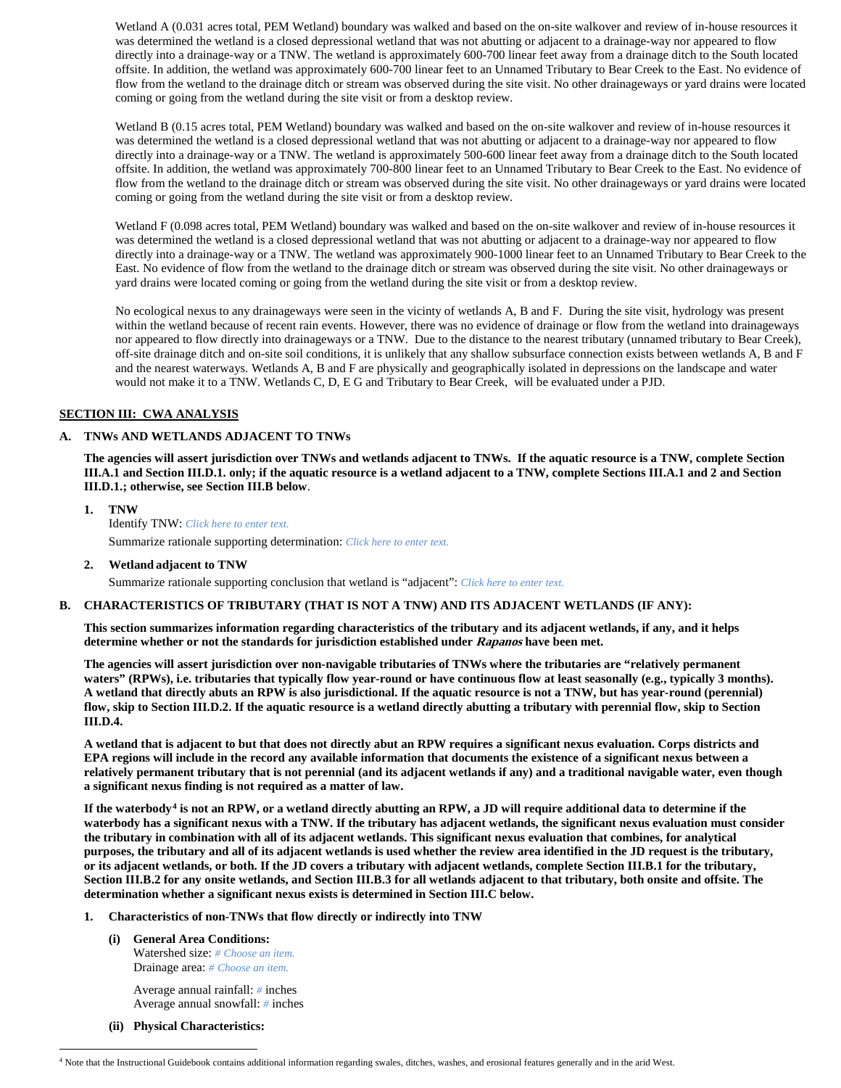Wetland A (0.031 acres total, PEM Wetland) boundary was walked and based on the on-site walkover and review of in-house resources it was determined the wetland is a closed depressional wetland that was not abutting or adjacent to a drainage-way nor appeared to flow directly into a drainage-way or a TNW. The wetland is approximately 600-700 linear feet away from a drainage ditch to the South located offsite. In addition, the wetland was approximately 600-700 linear feet to an Unnamed Tributary to Bear Creek to the East. No evidence of flow from the wetland to the drainage ditch or stream was observed during the site visit. No other drainageways or yard drains were located coming or going from the wetland during the site visit or from a desktop review.

Wetland B (0.15 acres total, PEM Wetland) boundary was walked and based on the on-site walkover and review of in-house resources it was determined the wetland is a closed depressional wetland that was not abutting or adjacent to a drainage-way nor appeared to flow directly into a drainage-way or a TNW. The wetland is approximately 500-600 linear feet away from a drainage ditch to the South located offsite. In addition, the wetland was approximately 700-800 linear feet to an Unnamed Tributary to Bear Creek to the East. No evidence of flow from the wetland to the drainage ditch or stream was observed during the site visit. No other drainageways or yard drains were located coming or going from the wetland during the site visit or from a desktop review.

Wetland F (0.098 acres total, PEM Wetland) boundary was walked and based on the on-site walkover and review of in-house resources it was determined the wetland is a closed depressional wetland that was not abutting or adjacent to a drainage-way nor appeared to flow directly into a drainage-way or a TNW. The wetland was approximately 900-1000 linear feet to an Unnamed Tributary to Bear Creek to the East. No evidence of flow from the wetland to the drainage ditch or stream was observed during the site visit. No other drainageways or yard drains were located coming or going from the wetland during the site visit or from a desktop review.

No ecological nexus to any drainageways were seen in the vicinty of wetlands A, B and F. During the site visit, hydrology was present within the wetland because of recent rain events. However, there was no evidence of drainage or flow from the wetland into drainageways nor appeared to flow directly into drainageways or a TNW. Due to the distance to the nearest tributary (unnamed tributary to Bear Creek), off-site drainage ditch and on-site soil conditions, it is unlikely that any shallow subsurface connection exists between wetlands A, B and F and the nearest waterways. Wetlands A, B and F are physically and geographically isolated in depressions on the landscape and water would not make it to a TNW. Wetlands C, D, E G and Tributary to Bear Creek, will be evaluated under a PJD.

### **SECTION III: CWA ANALYSIS**

#### **A. TNWs AND WETLANDS ADJACENT TO TNWs**

**The agencies will assert jurisdiction over TNWs and wetlands adjacent to TNWs. If the aquatic resource is a TNW, complete Section III.A.1 and Section III.D.1. only; if the aquatic resource is a wetland adjacent to a TNW, complete Sections III.A.1 and 2 and Section III.D.1.; otherwise, see Section III.B below**.

- **1. TNW**  Identify TNW: *Click here to enter text.* Summarize rationale supporting determination: *Click here to enter text.*
- **2. Wetland adjacent to TNW**

Summarize rationale supporting conclusion that wetland is "adjacent": *Click here to enter text.*

#### **B. CHARACTERISTICS OF TRIBUTARY (THAT IS NOT A TNW) AND ITS ADJACENT WETLANDS (IF ANY):**

**This section summarizes information regarding characteristics of the tributary and its adjacent wetlands, if any, and it helps determine whether or not the standards for jurisdiction established under Rapanos have been met.** 

**The agencies will assert jurisdiction over non-navigable tributaries of TNWs where the tributaries are "relatively permanent waters" (RPWs), i.e. tributaries that typically flow year-round or have continuous flow at least seasonally (e.g., typically 3 months). A wetland that directly abuts an RPW is also jurisdictional. If the aquatic resource is not a TNW, but has year-round (perennial) flow, skip to Section III.D.2. If the aquatic resource is a wetland directly abutting a tributary with perennial flow, skip to Section III.D.4.**

**A wetland that is adjacent to but that does not directly abut an RPW requires a significant nexus evaluation. Corps districts and EPA regions will include in the record any available information that documents the existence of a significant nexus between a relatively permanent tributary that is not perennial (and its adjacent wetlands if any) and a traditional navigable water, even though a significant nexus finding is not required as a matter of law.**

**If the waterbody[4](#page-1-0) is not an RPW, or a wetland directly abutting an RPW, a JD will require additional data to determine if the waterbody has a significant nexus with a TNW. If the tributary has adjacent wetlands, the significant nexus evaluation must consider the tributary in combination with all of its adjacent wetlands. This significant nexus evaluation that combines, for analytical purposes, the tributary and all of its adjacent wetlands is used whether the review area identified in the JD request is the tributary, or its adjacent wetlands, or both. If the JD covers a tributary with adjacent wetlands, complete Section III.B.1 for the tributary, Section III.B.2 for any onsite wetlands, and Section III.B.3 for all wetlands adjacent to that tributary, both onsite and offsite. The determination whether a significant nexus exists is determined in Section III.C below.**

#### **1. Characteristics of non-TNWs that flow directly or indirectly into TNW**

**(i) General Area Conditions:** Watershed size: *# Choose an item.*

> Drainage area: *# Choose an item.* Average annual rainfall: *#* inches

Average annual snowfall: *#* inches

**(ii) Physical Characteristics:**

<span id="page-1-0"></span> <sup>4</sup> Note that the Instructional Guidebook contains additional information regarding swales, ditches, washes, and erosional features generally and in the arid West.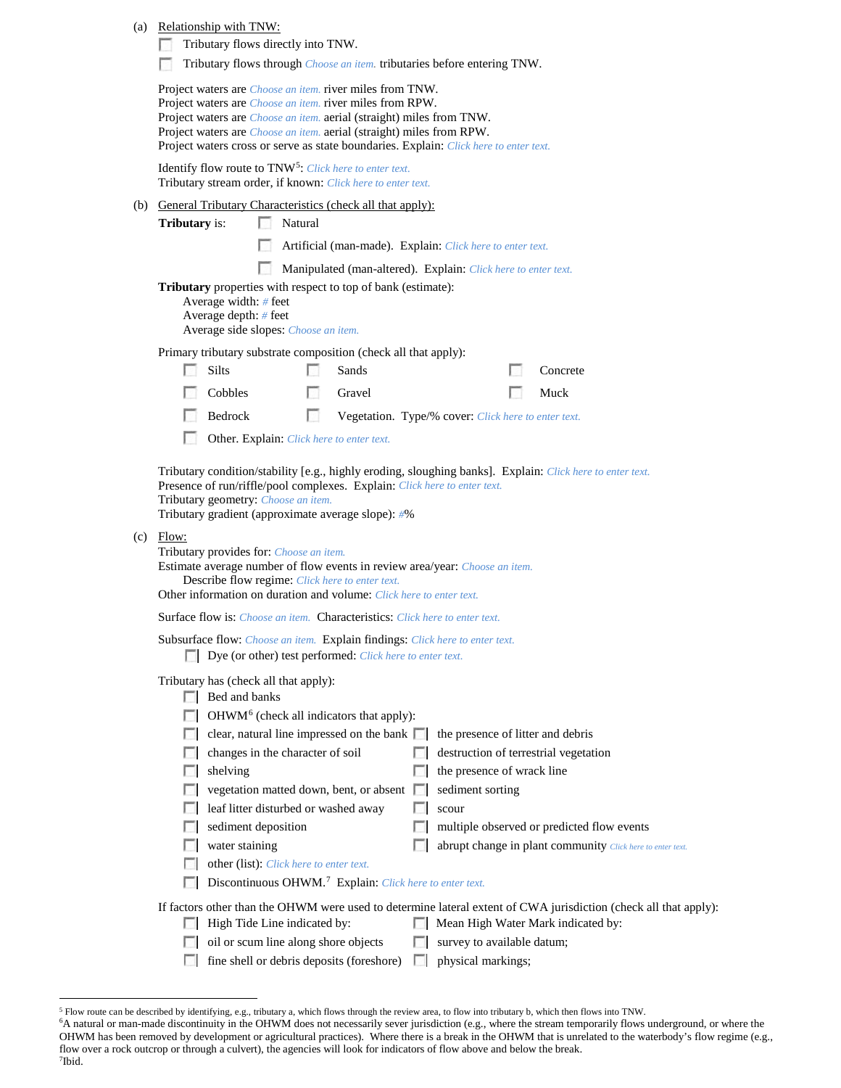|     | (a) Relationship with TNW:<br>Tributary flows directly into TNW.<br>Tributary flows through <i>Choose an item</i> . tributaries before entering TNW.                                                                                                                                                                                                                                                                                                                                                                                                                                                                                                                                                                                 |
|-----|--------------------------------------------------------------------------------------------------------------------------------------------------------------------------------------------------------------------------------------------------------------------------------------------------------------------------------------------------------------------------------------------------------------------------------------------------------------------------------------------------------------------------------------------------------------------------------------------------------------------------------------------------------------------------------------------------------------------------------------|
|     | Project waters are <i>Choose an item.</i> river miles from TNW.<br>Project waters are <i>Choose an item</i> . river miles from RPW.<br>Project waters are <i>Choose an item.</i> aerial (straight) miles from TNW.<br>Project waters are <i>Choose an item.</i> aerial (straight) miles from RPW.<br>Project waters cross or serve as state boundaries. Explain: Click here to enter text.                                                                                                                                                                                                                                                                                                                                           |
|     | Identify flow route to TNW <sup>5</sup> : Click here to enter text.<br>Tributary stream order, if known: Click here to enter text.                                                                                                                                                                                                                                                                                                                                                                                                                                                                                                                                                                                                   |
|     | (b) General Tributary Characteristics (check all that apply):<br>Natural<br><b>Tributary</b> is:<br>Artificial (man-made). Explain: Click here to enter text.                                                                                                                                                                                                                                                                                                                                                                                                                                                                                                                                                                        |
|     | Manipulated (man-altered). Explain: Click here to enter text.<br>Tributary properties with respect to top of bank (estimate):<br>Average width: $#$ feet<br>Average depth: # feet<br>Average side slopes: Choose an item.                                                                                                                                                                                                                                                                                                                                                                                                                                                                                                            |
|     | Primary tributary substrate composition (check all that apply):<br>Silts<br>Sands<br>Concrete<br>n<br>Cobbles<br>Muck<br>Gravel<br>г<br>Bedrock<br>Vegetation. Type/% cover: Click here to enter text.<br>Other. Explain: Click here to enter text.                                                                                                                                                                                                                                                                                                                                                                                                                                                                                  |
|     | Tributary condition/stability [e.g., highly eroding, sloughing banks]. Explain: Click here to enter text.<br>Presence of run/riffle/pool complexes. Explain: Click here to enter text.<br>Tributary geometry: Choose an item.<br>Tributary gradient (approximate average slope): #%                                                                                                                                                                                                                                                                                                                                                                                                                                                  |
| (c) | Flow:<br>Tributary provides for: Choose an item.<br>Estimate average number of flow events in review area/year: Choose an item.<br>Describe flow regime: Click here to enter text.<br>Other information on duration and volume: Click here to enter text.                                                                                                                                                                                                                                                                                                                                                                                                                                                                            |
|     | <b>Surface flow is:</b> Choose an item. <b>Characteristics:</b> Click here to enter text.                                                                                                                                                                                                                                                                                                                                                                                                                                                                                                                                                                                                                                            |
|     | Subsurface flow: Choose an item. Explain findings: Click here to enter text.<br>Dye (or other) test performed: Click here to enter text.                                                                                                                                                                                                                                                                                                                                                                                                                                                                                                                                                                                             |
|     | Tributary has (check all that apply):<br>Bed and banks<br>OHWM <sup>6</sup> (check all indicators that apply):<br>clear, natural line impressed on the bank $\Box$<br>the presence of litter and debris<br>changes in the character of soil<br>destruction of terrestrial vegetation<br>П<br>the presence of wrack line<br>shelving<br>vegetation matted down, bent, or absent<br>sediment sorting<br>n<br>leaf litter disturbed or washed away<br>scour<br>sediment deposition<br>multiple observed or predicted flow events<br>m<br>water staining<br>abrupt change in plant community Click here to enter text.<br>other (list): Click here to enter text.<br>Discontinuous OHWM. <sup>7</sup> Explain: Click here to enter text. |
|     | If factors other than the OHWM were used to determine lateral extent of CWA jurisdiction (check all that apply):<br>High Tide Line indicated by:<br>Mean High Water Mark indicated by:<br>L.<br>oil or scum line along shore objects<br>survey to available datum;<br>L.<br>physical markings;<br>fine shell or debris deposits (foreshore)<br>L.                                                                                                                                                                                                                                                                                                                                                                                    |

<span id="page-2-1"></span><span id="page-2-0"></span> <sup>5</sup> Flow route can be described by identifying, e.g., tributary a, which flows through the review area, to flow into tributary b, which then flows into TNW.

<span id="page-2-2"></span><sup>6</sup> A natural or man-made discontinuity in the OHWM does not necessarily sever jurisdiction (e.g., where the stream temporarily flows underground, or where the OHWM has been removed by development or agricultural practices). Where there is a break in the OHWM that is unrelated to the waterbody's flow regime (e.g., flow over a rock outcrop or through a culvert), the agencies will look for indicators of flow above and below the break. 7 Ibid.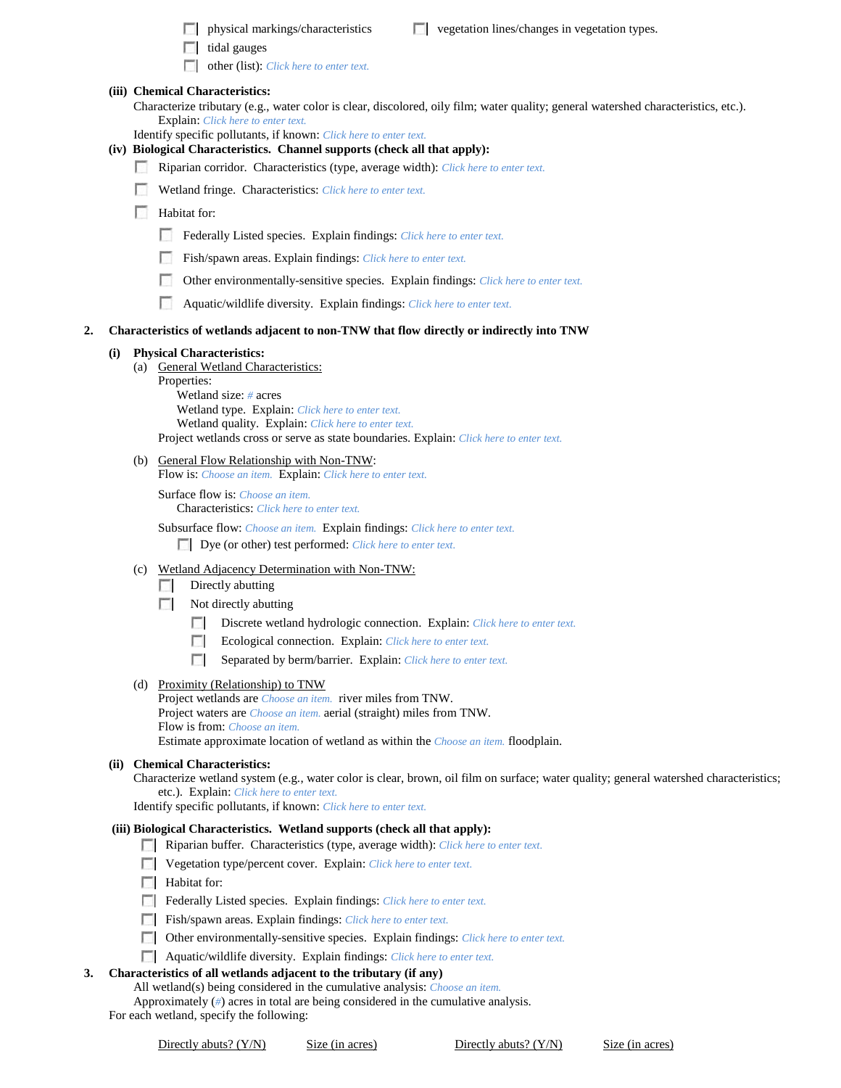- $\Box$  physical markings/characteristics  $\Box$  vegetation lines/changes in vegetation types.
- $\Box$  tidal gauges
- other (list): *Click here to enter text.*

## **(iii) Chemical Characteristics:**

- Characterize tributary (e.g., water color is clear, discolored, oily film; water quality; general watershed characteristics, etc.). Explain: *Click here to enter text.*
- Identify specific pollutants, if known: *Click here to enter text.*

# **(iv) Biological Characteristics. Channel supports (check all that apply):**

- Riparian corridor. Characteristics (type, average width): *Click here to enter text.*
- Wetland fringe. Characteristics: *Click here to enter text.*
- **Habitat for:** 
	- Federally Listed species. Explain findings: *Click here to enter text.*
	- Fish/spawn areas. Explain findings: *Click here to enter text.*
	- Other environmentally-sensitive species. Explain findings: *Click here to enter text.*
	- Aquatic/wildlife diversity. Explain findings: *Click here to enter text.*

#### **2. Characteristics of wetlands adjacent to non-TNW that flow directly or indirectly into TNW**

# **(i) Physical Characteristics:**

- (a) General Wetland Characteristics:
	- Properties:

Wetland size: *#* acres Wetland type. Explain: *Click here to enter text.* Wetland quality. Explain: *Click here to enter text.* Project wetlands cross or serve as state boundaries. Explain: *Click here to enter text.*

(b) General Flow Relationship with Non-TNW:

Flow is: *Choose an item.* Explain: *Click here to enter text.*

Surface flow is: *Choose an item.* Characteristics: *Click here to enter text.*

Subsurface flow: *Choose an item.* Explain findings: *Click here to enter text.* Dye (or other) test performed: *Click here to enter text.*

(c) Wetland Adjacency Determination with Non-TNW:

## $\Box$  Directly abutting

- Not directly abutting
	- Discrete wetland hydrologic connection. Explain: *Click here to enter text.*
	- Ecological connection. Explain: *Click here to enter text.* **The Contract of the Contract of the Contract of the Contract of the Contract of the Contract of the Contract of the Contract of the Contract of the Contract of the Contract of the Contract of the Contract of the Contract**
	- Separated by berm/barrier. Explain: *Click here to enter text.*

#### (d) Proximity (Relationship) to TNW

Project wetlands are *Choose an item.* river miles from TNW. Project waters are *Choose an item.* aerial (straight) miles from TNW. Flow is from: *Choose an item.*

Estimate approximate location of wetland as within the *Choose an item.* floodplain.

#### **(ii) Chemical Characteristics:**

Characterize wetland system (e.g., water color is clear, brown, oil film on surface; water quality; general watershed characteristics; etc.). Explain: *Click here to enter text.*

Identify specific pollutants, if known: *Click here to enter text.*

#### **(iii) Biological Characteristics. Wetland supports (check all that apply):**

- Riparian buffer. Characteristics (type, average width): *Click here to enter text.*
- Vegetation type/percent cover. Explain: *Click here to enter text.*
- **Habitat for:**
- Federally Listed species. Explain findings: *Click here to enter text.*
- Fish/spawn areas. Explain findings: *Click here to enter text.*
- Other environmentally-sensitive species. Explain findings: *Click here to enter text.*
- Aquatic/wildlife diversity. Explain findings: *Click here to enter text.*

#### **3. Characteristics of all wetlands adjacent to the tributary (if any)**

All wetland(s) being considered in the cumulative analysis: *Choose an item.*

Approximately (*#*) acres in total are being considered in the cumulative analysis.

For each wetland, specify the following:

Directly abuts? (Y/N) Size (in acres) Directly abuts? (Y/N) Size (in acres)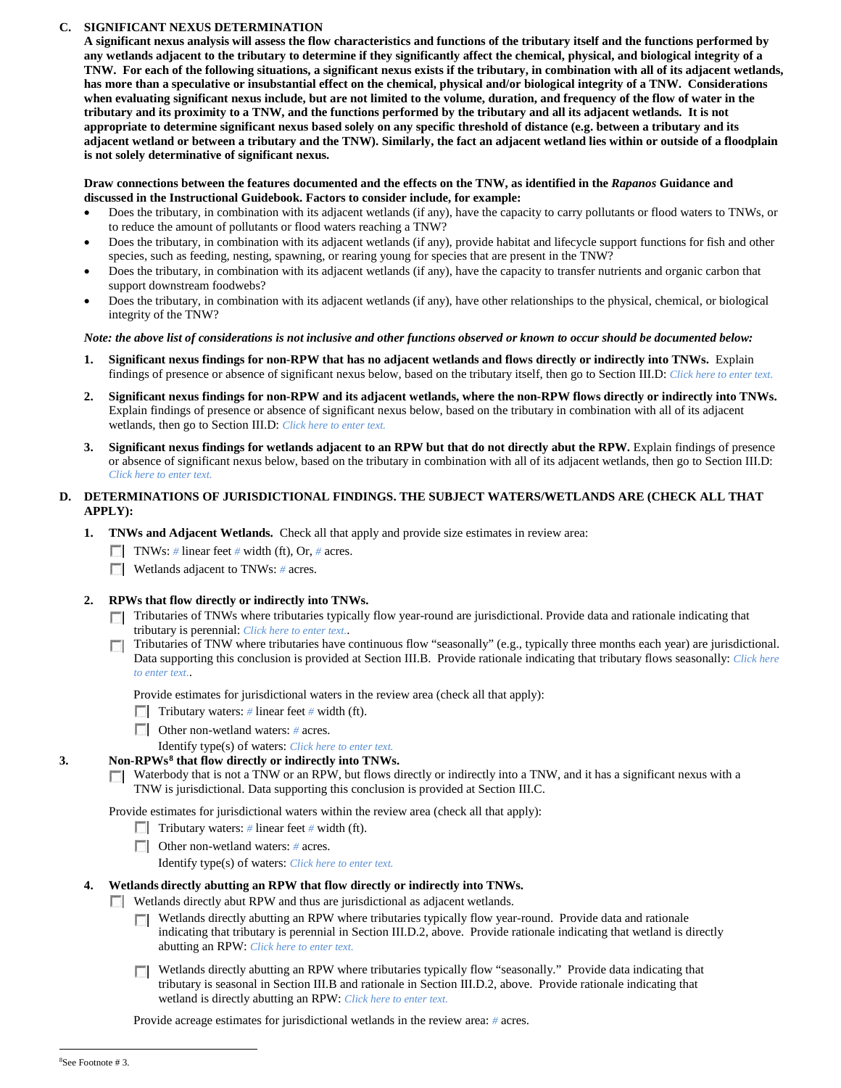## **C. SIGNIFICANT NEXUS DETERMINATION**

**A significant nexus analysis will assess the flow characteristics and functions of the tributary itself and the functions performed by any wetlands adjacent to the tributary to determine if they significantly affect the chemical, physical, and biological integrity of a TNW. For each of the following situations, a significant nexus exists if the tributary, in combination with all of its adjacent wetlands, has more than a speculative or insubstantial effect on the chemical, physical and/or biological integrity of a TNW. Considerations when evaluating significant nexus include, but are not limited to the volume, duration, and frequency of the flow of water in the tributary and its proximity to a TNW, and the functions performed by the tributary and all its adjacent wetlands. It is not appropriate to determine significant nexus based solely on any specific threshold of distance (e.g. between a tributary and its adjacent wetland or between a tributary and the TNW). Similarly, the fact an adjacent wetland lies within or outside of a floodplain is not solely determinative of significant nexus.** 

#### **Draw connections between the features documented and the effects on the TNW, as identified in the** *Rapanos* **Guidance and discussed in the Instructional Guidebook. Factors to consider include, for example:**

- Does the tributary, in combination with its adjacent wetlands (if any), have the capacity to carry pollutants or flood waters to TNWs, or to reduce the amount of pollutants or flood waters reaching a TNW?
- Does the tributary, in combination with its adjacent wetlands (if any), provide habitat and lifecycle support functions for fish and other species, such as feeding, nesting, spawning, or rearing young for species that are present in the TNW?
- Does the tributary, in combination with its adjacent wetlands (if any), have the capacity to transfer nutrients and organic carbon that support downstream foodwebs?
- Does the tributary, in combination with its adjacent wetlands (if any), have other relationships to the physical, chemical, or biological integrity of the TNW?

### *Note: the above list of considerations is not inclusive and other functions observed or known to occur should be documented below:*

- **1. Significant nexus findings for non-RPW that has no adjacent wetlands and flows directly or indirectly into TNWs.** Explain findings of presence or absence of significant nexus below, based on the tributary itself, then go to Section III.D: *Click here to enter text.*
- **2. Significant nexus findings for non-RPW and its adjacent wetlands, where the non-RPW flows directly or indirectly into TNWs.**  Explain findings of presence or absence of significant nexus below, based on the tributary in combination with all of its adjacent wetlands, then go to Section III.D: *Click here to enter text.*
- **3. Significant nexus findings for wetlands adjacent to an RPW but that do not directly abut the RPW.** Explain findings of presence or absence of significant nexus below, based on the tributary in combination with all of its adjacent wetlands, then go to Section III.D: *Click here to enter text.*

## **D. DETERMINATIONS OF JURISDICTIONAL FINDINGS. THE SUBJECT WATERS/WETLANDS ARE (CHECK ALL THAT APPLY):**

- **1. TNWs and Adjacent Wetlands.** Check all that apply and provide size estimates in review area:
	- TNWs: *#* linear feet *#* width (ft), Or, *#* acres.
	- **Wetlands adjacent to TNWs:** # acres.

## **2. RPWs that flow directly or indirectly into TNWs.**

- Tributaries of TNWs where tributaries typically flow year-round are jurisdictional. Provide data and rationale indicating that tributary is perennial: *Click here to enter text.*.
- Tributaries of TNW where tributaries have continuous flow "seasonally" (e.g., typically three months each year) are jurisdictional. Data supporting this conclusion is provided at Section III.B. Provide rationale indicating that tributary flows seasonally: *Click here to enter text.*.

Provide estimates for jurisdictional waters in the review area (check all that apply):

- Tributary waters: # linear feet # width (ft).
- Other non-wetland waters: # acres.
- Identify type(s) of waters: *Click here to enter text.*

## **3. Non-RPWs[8](#page-4-0) that flow directly or indirectly into TNWs.**

Waterbody that is not a TNW or an RPW, but flows directly or indirectly into a TNW, and it has a significant nexus with a TNW is jurisdictional. Data supporting this conclusion is provided at Section III.C.

Provide estimates for jurisdictional waters within the review area (check all that apply):

- Tributary waters: # linear feet # width (ft).
- Other non-wetland waters: *#* acres.
	- Identify type(s) of waters: *Click here to enter text.*

## **4. Wetlands directly abutting an RPW that flow directly or indirectly into TNWs.**

**Wetlands directly abut RPW and thus are jurisdictional as adjacent wetlands.** 

- $\Box$  Wetlands directly abutting an RPW where tributaries typically flow year-round. Provide data and rationale indicating that tributary is perennial in Section III.D.2, above. Provide rationale indicating that wetland is directly abutting an RPW: *Click here to enter text.*
- Wetlands directly abutting an RPW where tributaries typically flow "seasonally." Provide data indicating that tributary is seasonal in Section III.B and rationale in Section III.D.2, above. Provide rationale indicating that wetland is directly abutting an RPW: *Click here to enter text.*

Provide acreage estimates for jurisdictional wetlands in the review area: *#* acres.

<span id="page-4-0"></span> $\frac{1}{8}$ See Footnote # 3.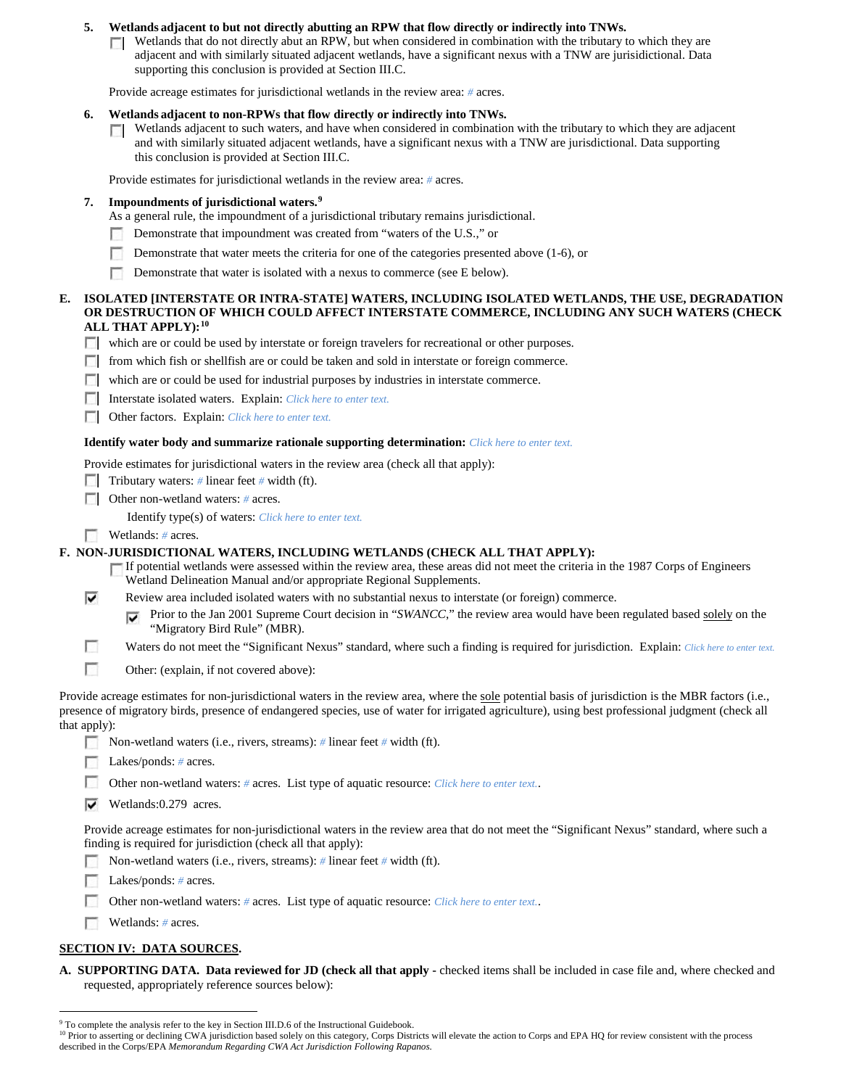## **5. Wetlands adjacent to but not directly abutting an RPW that flow directly or indirectly into TNWs.**

Wetlands that do not directly abut an RPW, but when considered in combination with the tributary to which they are **TT** adjacent and with similarly situated adjacent wetlands, have a significant nexus with a TNW are jurisidictional. Data supporting this conclusion is provided at Section III.C.

Provide acreage estimates for jurisdictional wetlands in the review area: *#* acres.

#### **6. Wetlands adjacent to non-RPWs that flow directly or indirectly into TNWs.**

 $\Box$  Wetlands adjacent to such waters, and have when considered in combination with the tributary to which they are adjacent and with similarly situated adjacent wetlands, have a significant nexus with a TNW are jurisdictional. Data supporting this conclusion is provided at Section III.C.

Provide estimates for jurisdictional wetlands in the review area: *#* acres.

#### **7. Impoundments of jurisdictional waters. [9](#page-5-0)**

- As a general rule, the impoundment of a jurisdictional tributary remains jurisdictional.
- Demonstrate that impoundment was created from "waters of the U.S.," or
- $\sim$ Demonstrate that water meets the criteria for one of the categories presented above (1-6), or
- п Demonstrate that water is isolated with a nexus to commerce (see E below).

#### **E. ISOLATED [INTERSTATE OR INTRA-STATE] WATERS, INCLUDING ISOLATED WETLANDS, THE USE, DEGRADATION OR DESTRUCTION OF WHICH COULD AFFECT INTERSTATE COMMERCE, INCLUDING ANY SUCH WATERS (CHECK ALL THAT APPLY):[10](#page-5-1)**

- which are or could be used by interstate or foreign travelers for recreational or other purposes.
- from which fish or shellfish are or could be taken and sold in interstate or foreign commerce.
- which are or could be used for industrial purposes by industries in interstate commerce.
- Interstate isolated waters.Explain: *Click here to enter text.*
- Other factors.Explain: *Click here to enter text.*

#### **Identify water body and summarize rationale supporting determination:** *Click here to enter text.*

Provide estimates for jurisdictional waters in the review area (check all that apply):

- Tributary waters: # linear feet # width (ft).
- Other non-wetland waters: *#* acres.

Identify type(s) of waters: *Click here to enter text.*

Wetlands: # acres.

#### **F. NON-JURISDICTIONAL WATERS, INCLUDING WETLANDS (CHECK ALL THAT APPLY):**

- If potential wetlands were assessed within the review area, these areas did not meet the criteria in the 1987 Corps of Engineers Wetland Delineation Manual and/or appropriate Regional Supplements.
- ⊽ Review area included isolated waters with no substantial nexus to interstate (or foreign) commerce.
	- **Prior to the Jan 2001 Supreme Court decision in "***SWANCC*," the review area would have been regulated based solely on the "Migratory Bird Rule" (MBR).
- г Waters do not meet the "Significant Nexus" standard, where such a finding is required for jurisdiction. Explain: *Click here to enter text.*
- г Other: (explain, if not covered above):

Provide acreage estimates for non-jurisdictional waters in the review area, where the sole potential basis of jurisdiction is the MBR factors (i.e., presence of migratory birds, presence of endangered species, use of water for irrigated agriculture), using best professional judgment (check all that apply):

- Non-wetland waters (i.e., rivers, streams): *#* linear feet *#* width (ft).
- **Lakes/ponds:** # acres.
- $\sim$ Other non-wetland waters: *#* acres. List type of aquatic resource: *Click here to enter text.*.
- Wetlands:0.279 acres.

Provide acreage estimates for non-jurisdictional waters in the review area that do not meet the "Significant Nexus" standard, where such a finding is required for jurisdiction (check all that apply):

- Non-wetland waters (i.e., rivers, streams): *#* linear feet *#* width (ft).
- Е Lakes/ponds: *#* acres.
- Other non-wetland waters: *#* acres. List type of aquatic resource: *Click here to enter text.*.
- **Wetlands:** # acres.

# **SECTION IV: DATA SOURCES.**

**A. SUPPORTING DATA. Data reviewed for JD (check all that apply -** checked items shall be included in case file and, where checked and requested, appropriately reference sources below):

<sup>&</sup>lt;sup>9</sup> To complete the analysis refer to the key in Section III.D.6 of the Instructional Guidebook.

<span id="page-5-1"></span><span id="page-5-0"></span><sup>&</sup>lt;sup>10</sup> Prior to asserting or declining CWA jurisdiction based solely on this category, Corps Districts will elevate the action to Corps and EPA HQ for review consistent with the process described in the Corps/EPA *Memorandum Regarding CWA Act Jurisdiction Following Rapanos.*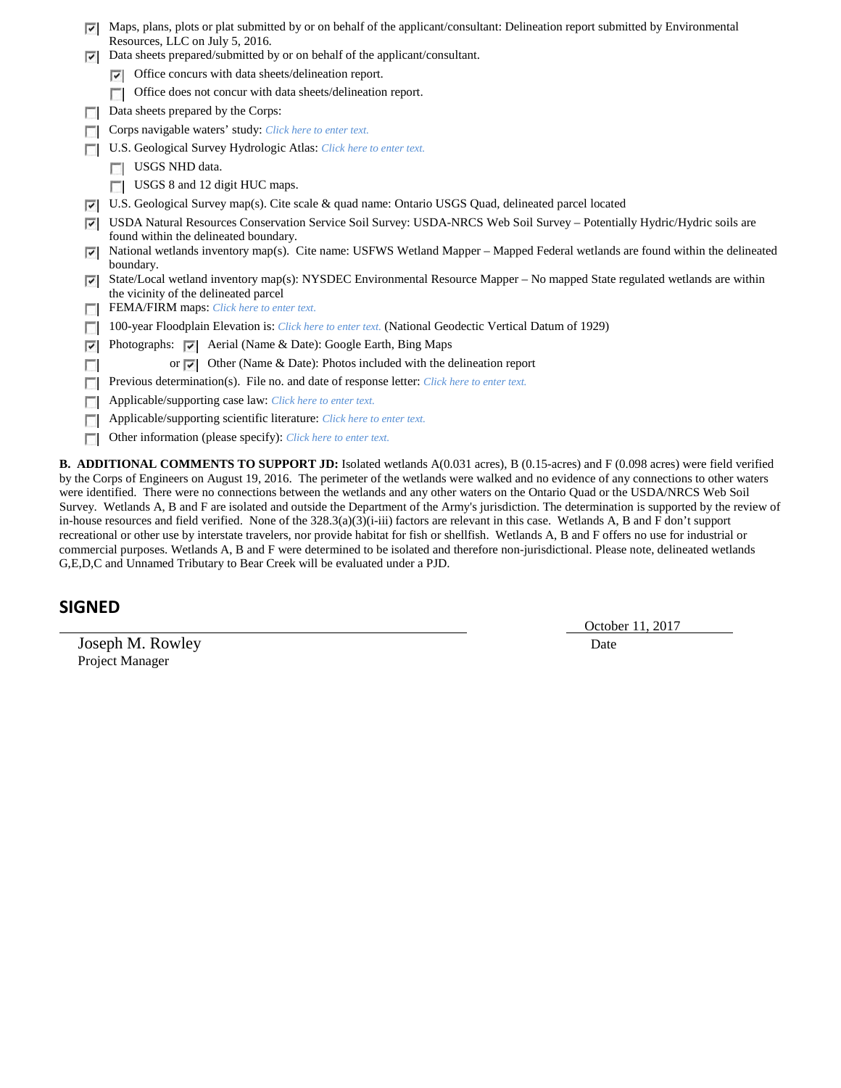| ⊽                                                                                                                                          | Maps, plans, plots or plat submitted by or on behalf of the applicant/consultant: Delineation report submitted by Environmental                                     |  |
|--------------------------------------------------------------------------------------------------------------------------------------------|---------------------------------------------------------------------------------------------------------------------------------------------------------------------|--|
|                                                                                                                                            | Resources, LLC on July 5, 2016.<br>Data sheets prepared/submitted by or on behalf of the applicant/consultant.                                                      |  |
| ⊽                                                                                                                                          |                                                                                                                                                                     |  |
|                                                                                                                                            | Office concurs with data sheets/delineation report.<br>⊽                                                                                                            |  |
|                                                                                                                                            | Office does not concur with data sheets/delineation report.                                                                                                         |  |
| п                                                                                                                                          | Data sheets prepared by the Corps:                                                                                                                                  |  |
|                                                                                                                                            | Corps navigable waters' study: Click here to enter text.                                                                                                            |  |
|                                                                                                                                            | U.S. Geological Survey Hydrologic Atlas: Click here to enter text.                                                                                                  |  |
|                                                                                                                                            | USGS NHD data.                                                                                                                                                      |  |
|                                                                                                                                            | USGS 8 and 12 digit HUC maps.                                                                                                                                       |  |
| ⊽                                                                                                                                          | U.S. Geological Survey map(s). Cite scale & quad name: Ontario USGS Quad, delineated parcel located                                                                 |  |
| ⊽                                                                                                                                          | USDA Natural Resources Conservation Service Soil Survey: USDA-NRCS Web Soil Survey - Potentially Hydric/Hydric soils are<br>found within the delineated boundary.   |  |
| ⊽                                                                                                                                          | National wetlands inventory map(s). Cite name: USFWS Wetland Mapper – Mapped Federal wetlands are found within the delineated<br>boundary.                          |  |
| ⊽                                                                                                                                          | State/Local wetland inventory map(s): NYSDEC Environmental Resource Mapper – No mapped State regulated wetlands are within<br>the vicinity of the delineated parcel |  |
|                                                                                                                                            | FEMA/FIRM maps: Click here to enter text.                                                                                                                           |  |
|                                                                                                                                            | 100-year Floodplain Elevation is: Click here to enter text. (National Geodectic Vertical Datum of 1929)                                                             |  |
| ⊽                                                                                                                                          | Photographs: $\nabla$ Aerial (Name & Date): Google Earth, Bing Maps                                                                                                 |  |
|                                                                                                                                            | or $\overline{ \mathbf{v} }$ Other (Name & Date): Photos included with the delineation report                                                                       |  |
|                                                                                                                                            | Previous determination(s). File no. and date of response letter: Click here to enter text.                                                                          |  |
|                                                                                                                                            | Applicable/supporting case law: Click here to enter text.                                                                                                           |  |
|                                                                                                                                            | Applicable/supporting scientific literature: Click here to enter text.                                                                                              |  |
| г                                                                                                                                          | Other information (please specify): Click here to enter text.                                                                                                       |  |
| <b>B. ADDITIONAL COMMENTS TO SUPPORT JD:</b> Isolated wetlands A(0.031 acres), B (0.15-acres) and F (0.098 acres) were field verified      |                                                                                                                                                                     |  |
| by the Corps of Engineers on August 19, 2016. The perimeter of the wetlands were walked and no evidence of any connections to other waters |                                                                                                                                                                     |  |

by the Corps of Engineers on August 19, 2016. The perimeter of the wetlands were walked and no evidence of any connections to other waters were identified. There were no connections between the wetlands and any other waters on the Ontario Quad or the USDA/NRCS Web Soil Survey. Wetlands A, B and F are isolated and outside the Department of the Army's jurisdiction. The determination is supported by the review of in-house resources and field verified. None of the 328.3(a)(3)(i-iii) factors are relevant in this case. Wetlands A, B and F don't support recreational or other use by interstate travelers, nor provide habitat for fish or shellfish. Wetlands A, B and F offers no use for industrial or commercial purposes. Wetlands A, B and F were determined to be isolated and therefore non-jurisdictional. Please note, delineated wetlands G,E,D,C and Unnamed Tributary to Bear Creek will be evaluated under a PJD.

# **SIGNED**

Joseph M. Rowley Date Project Manager

October 11, 2017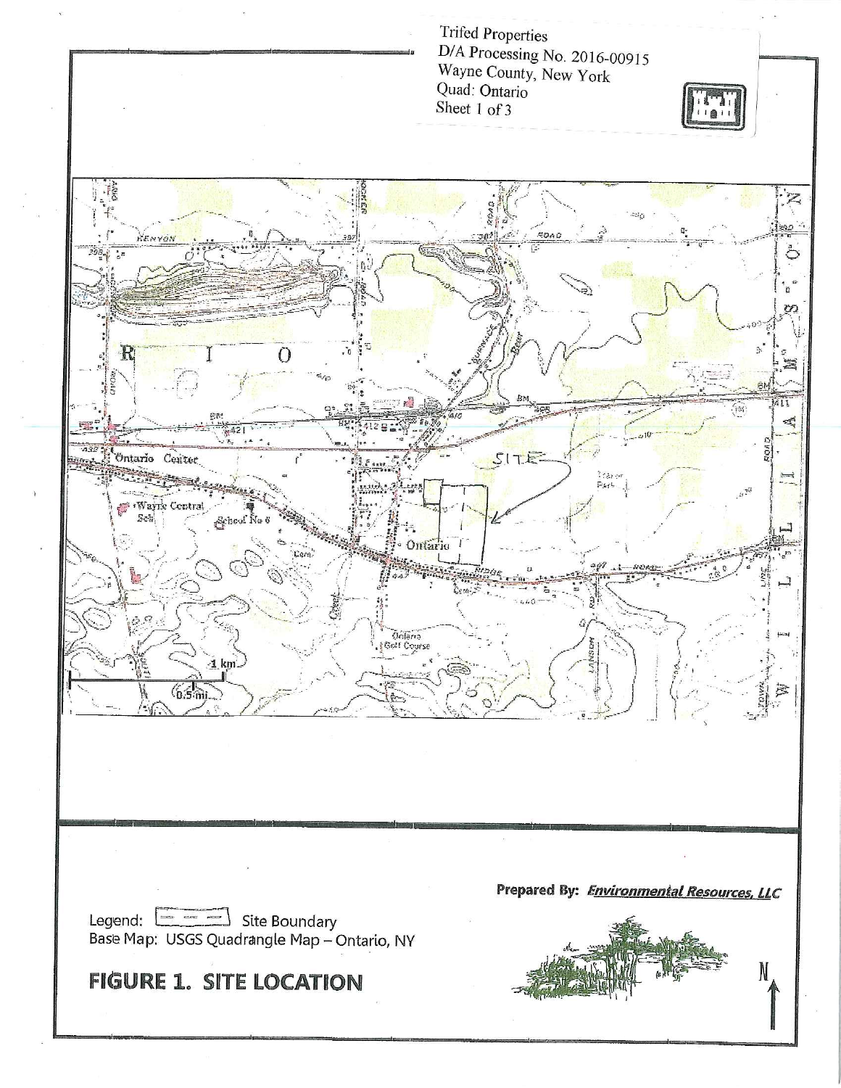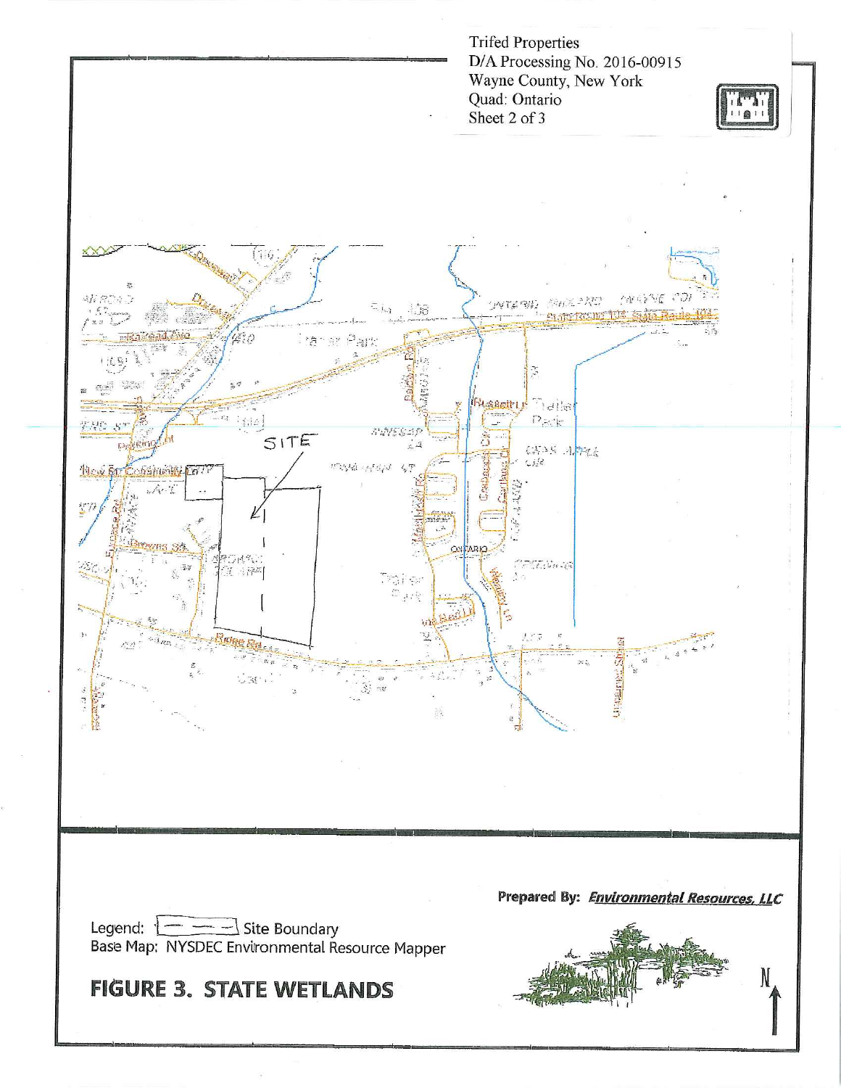**Trifed Properties** D/A Processing No. 2016-00915 Wayne County, New York Quad: Ontario Sheet 2 of 3